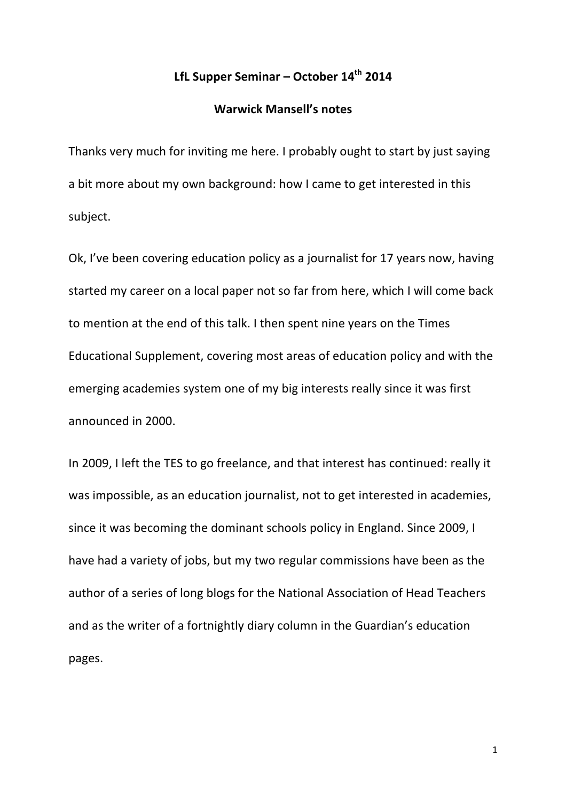# **LfL Supper Seminar – October 14th 2014**

# **Warwick Mansell's notes**

Thanks very much for inviting me here. I probably ought to start by just saying a bit more about my own background: how I came to get interested in this subject. 

Ok, I've been covering education policy as a journalist for 17 years now, having started my career on a local paper not so far from here, which I will come back to mention at the end of this talk. I then spent nine years on the Times Educational Supplement, covering most areas of education policy and with the emerging academies system one of my big interests really since it was first announced in 2000.

In 2009, I left the TES to go freelance, and that interest has continued: really it was impossible, as an education journalist, not to get interested in academies, since it was becoming the dominant schools policy in England. Since 2009, I have had a variety of jobs, but my two regular commissions have been as the author of a series of long blogs for the National Association of Head Teachers and as the writer of a fortnightly diary column in the Guardian's education pages.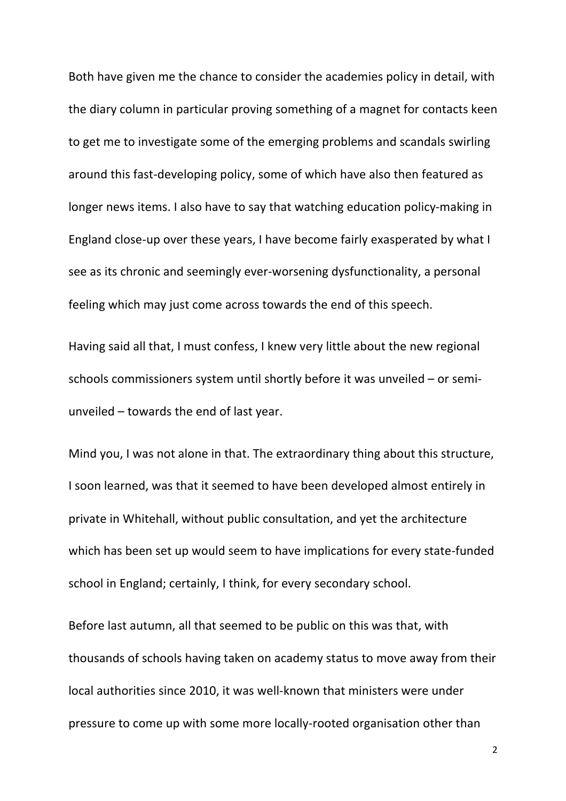Both have given me the chance to consider the academies policy in detail, with the diary column in particular proving something of a magnet for contacts keen to get me to investigate some of the emerging problems and scandals swirling around this fast-developing policy, some of which have also then featured as longer news items. I also have to say that watching education policy-making in England close-up over these years, I have become fairly exasperated by what I see as its chronic and seemingly ever-worsening dysfunctionality, a personal feeling which may just come across towards the end of this speech.

Having said all that, I must confess, I knew very little about the new regional schools commissioners system until shortly before it was unveiled  $-$  or semiunveiled  $-$  towards the end of last year.

Mind you, I was not alone in that. The extraordinary thing about this structure, I soon learned, was that it seemed to have been developed almost entirely in private in Whitehall, without public consultation, and yet the architecture which has been set up would seem to have implications for every state-funded school in England; certainly, I think, for every secondary school.

Before last autumn, all that seemed to be public on this was that, with thousands of schools having taken on academy status to move away from their local authorities since 2010, it was well-known that ministers were under pressure to come up with some more locally-rooted organisation other than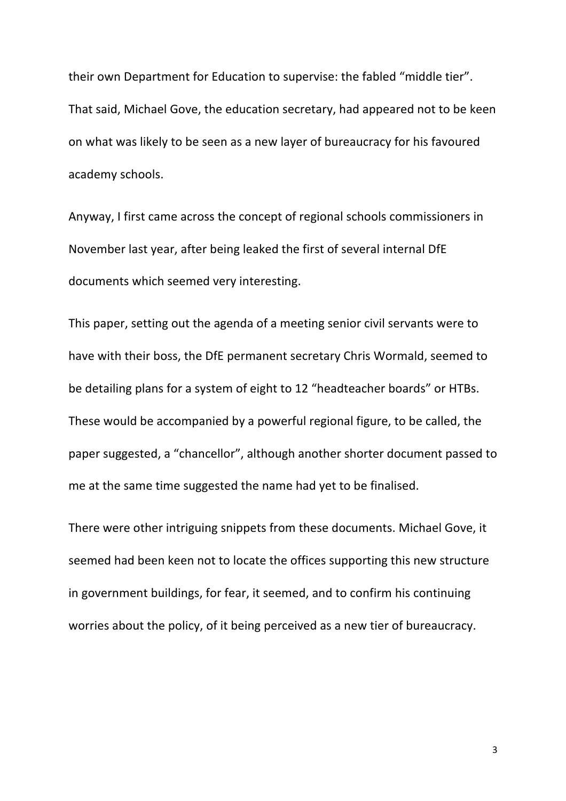their own Department for Education to supervise: the fabled "middle tier". That said, Michael Gove, the education secretary, had appeared not to be keen on what was likely to be seen as a new layer of bureaucracy for his favoured academy schools.

Anyway, I first came across the concept of regional schools commissioners in November last year, after being leaked the first of several internal DfE documents which seemed very interesting.

This paper, setting out the agenda of a meeting senior civil servants were to have with their boss, the DfE permanent secretary Chris Wormald, seemed to be detailing plans for a system of eight to 12 "headteacher boards" or HTBs. These would be accompanied by a powerful regional figure, to be called, the paper suggested, a "chancellor", although another shorter document passed to me at the same time suggested the name had yet to be finalised.

There were other intriguing snippets from these documents. Michael Gove, it seemed had been keen not to locate the offices supporting this new structure in government buildings, for fear, it seemed, and to confirm his continuing worries about the policy, of it being perceived as a new tier of bureaucracy.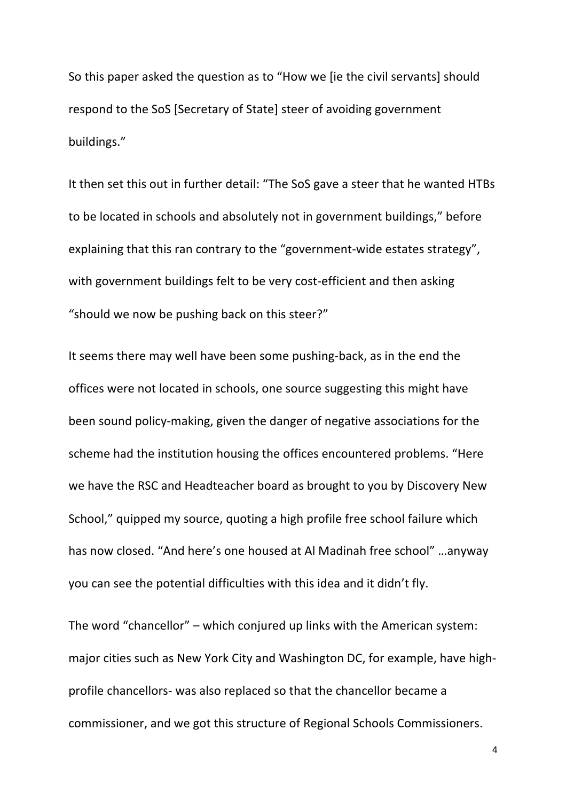So this paper asked the question as to "How we [ie the civil servants] should respond to the SoS [Secretary of State] steer of avoiding government buildings."

It then set this out in further detail: "The SoS gave a steer that he wanted HTBs to be located in schools and absolutely not in government buildings," before explaining that this ran contrary to the "government-wide estates strategy", with government buildings felt to be very cost-efficient and then asking "should we now be pushing back on this steer?"

It seems there may well have been some pushing-back, as in the end the offices were not located in schools, one source suggesting this might have been sound policy-making, given the danger of negative associations for the scheme had the institution housing the offices encountered problems. "Here we have the RSC and Headteacher board as brought to you by Discovery New School," quipped my source, quoting a high profile free school failure which has now closed. "And here's one housed at Al Madinah free school" ...anyway you can see the potential difficulties with this idea and it didn't fly.

The word "chancellor"  $-$  which conjured up links with the American system: major cities such as New York City and Washington DC, for example, have highprofile chancellors- was also replaced so that the chancellor became a commissioner, and we got this structure of Regional Schools Commissioners.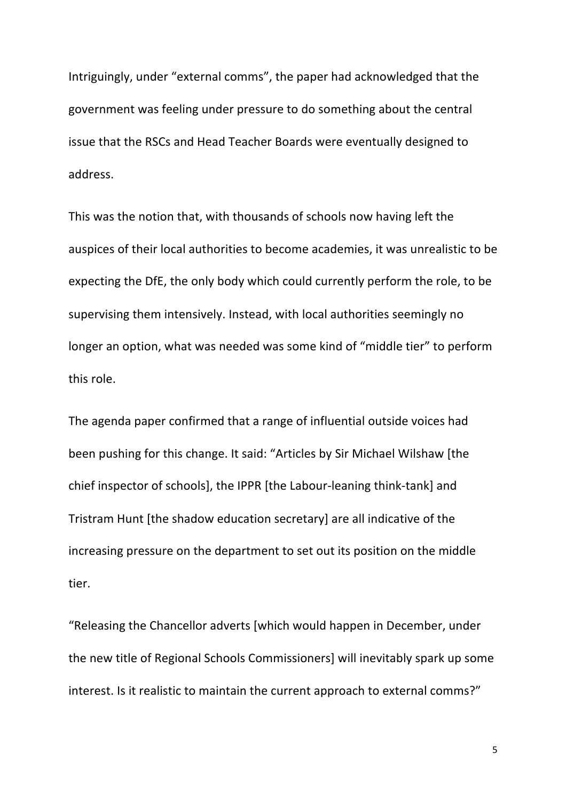Intriguingly, under "external comms", the paper had acknowledged that the government was feeling under pressure to do something about the central issue that the RSCs and Head Teacher Boards were eventually designed to address. 

This was the notion that, with thousands of schools now having left the auspices of their local authorities to become academies, it was unrealistic to be expecting the DfE, the only body which could currently perform the role, to be supervising them intensively. Instead, with local authorities seemingly no longer an option, what was needed was some kind of "middle tier" to perform this role.

The agenda paper confirmed that a range of influential outside voices had been pushing for this change. It said: "Articles by Sir Michael Wilshaw [the chief inspector of schools], the IPPR [the Labour-leaning think-tank] and Tristram Hunt [the shadow education secretary] are all indicative of the increasing pressure on the department to set out its position on the middle tier. 

"Releasing the Chancellor adverts [which would happen in December, under the new title of Regional Schools Commissioners] will inevitably spark up some interest. Is it realistic to maintain the current approach to external comms?"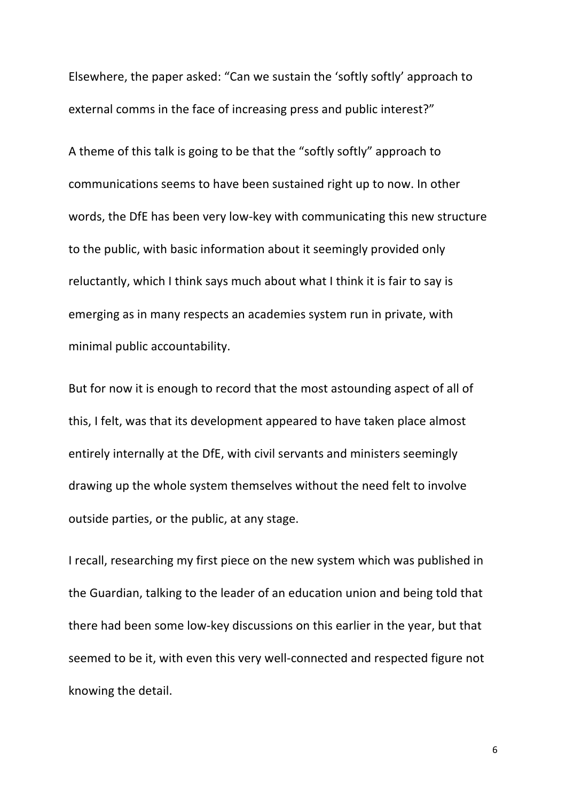Elsewhere, the paper asked: "Can we sustain the 'softly softly' approach to external comms in the face of increasing press and public interest?"

A theme of this talk is going to be that the "softly softly" approach to communications seems to have been sustained right up to now. In other words, the DfE has been very low-key with communicating this new structure to the public, with basic information about it seemingly provided only reluctantly, which I think says much about what I think it is fair to say is emerging as in many respects an academies system run in private, with minimal public accountability.

But for now it is enough to record that the most astounding aspect of all of this, I felt, was that its development appeared to have taken place almost entirely internally at the DfE, with civil servants and ministers seemingly drawing up the whole system themselves without the need felt to involve outside parties, or the public, at any stage.

I recall, researching my first piece on the new system which was published in the Guardian, talking to the leader of an education union and being told that there had been some low-key discussions on this earlier in the year, but that seemed to be it, with even this very well-connected and respected figure not knowing the detail.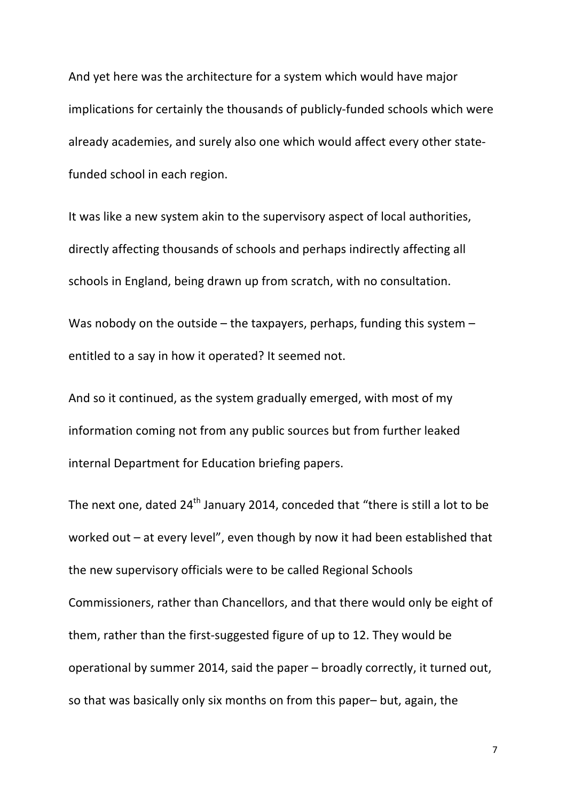And yet here was the architecture for a system which would have major implications for certainly the thousands of publicly-funded schools which were already academies, and surely also one which would affect every other statefunded school in each region.

It was like a new system akin to the supervisory aspect of local authorities, directly affecting thousands of schools and perhaps indirectly affecting all schools in England, being drawn up from scratch, with no consultation.

Was nobody on the outside  $-$  the taxpayers, perhaps, funding this system  $$ entitled to a say in how it operated? It seemed not.

And so it continued, as the system gradually emerged, with most of my information coming not from any public sources but from further leaked internal Department for Education briefing papers.

The next one, dated  $24<sup>th</sup>$  January 2014, conceded that "there is still a lot to be worked out  $-$  at every level", even though by now it had been established that the new supervisory officials were to be called Regional Schools Commissioners, rather than Chancellors, and that there would only be eight of them, rather than the first-suggested figure of up to 12. They would be operational by summer 2014, said the paper – broadly correctly, it turned out, so that was basically only six months on from this paper- but, again, the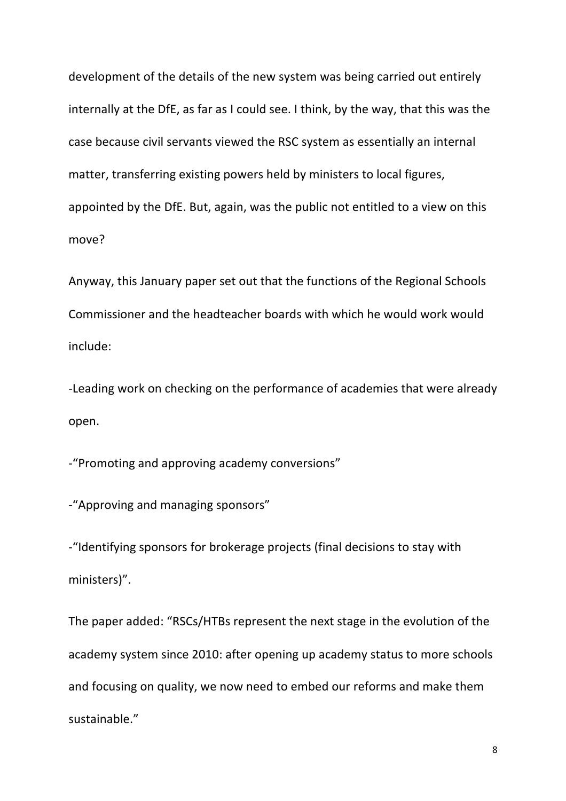development of the details of the new system was being carried out entirely internally at the DfE, as far as I could see. I think, by the way, that this was the case because civil servants viewed the RSC system as essentially an internal matter, transferring existing powers held by ministers to local figures, appointed by the DfE. But, again, was the public not entitled to a view on this move?

Anyway, this January paper set out that the functions of the Regional Schools Commissioner and the headteacher boards with which he would work would include: 

-Leading work on checking on the performance of academies that were already open. 

-"Promoting and approving academy conversions"

-"Approving and managing sponsors"

-"Identifying sponsors for brokerage projects (final decisions to stay with ministers)".

The paper added: "RSCs/HTBs represent the next stage in the evolution of the academy system since 2010: after opening up academy status to more schools and focusing on quality, we now need to embed our reforms and make them sustainable."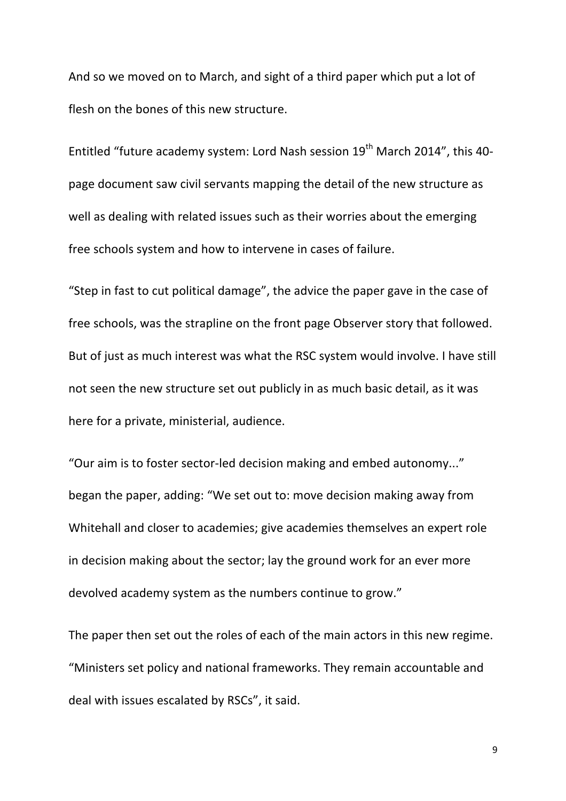And so we moved on to March, and sight of a third paper which put a lot of flesh on the bones of this new structure.

Entitled "future academy system: Lord Nash session  $19<sup>th</sup>$  March 2014", this 40page document saw civil servants mapping the detail of the new structure as well as dealing with related issues such as their worries about the emerging free schools system and how to intervene in cases of failure.

"Step in fast to cut political damage", the advice the paper gave in the case of free schools, was the strapline on the front page Observer story that followed. But of just as much interest was what the RSC system would involve. I have still not seen the new structure set out publicly in as much basic detail, as it was here for a private, ministerial, audience.

"Our aim is to foster sector-led decision making and embed autonomy..." began the paper, adding: "We set out to: move decision making away from Whitehall and closer to academies; give academies themselves an expert role in decision making about the sector; lay the ground work for an ever more devolved academy system as the numbers continue to grow."

The paper then set out the roles of each of the main actors in this new regime. "Ministers set policy and national frameworks. They remain accountable and deal with issues escalated by RSCs", it said.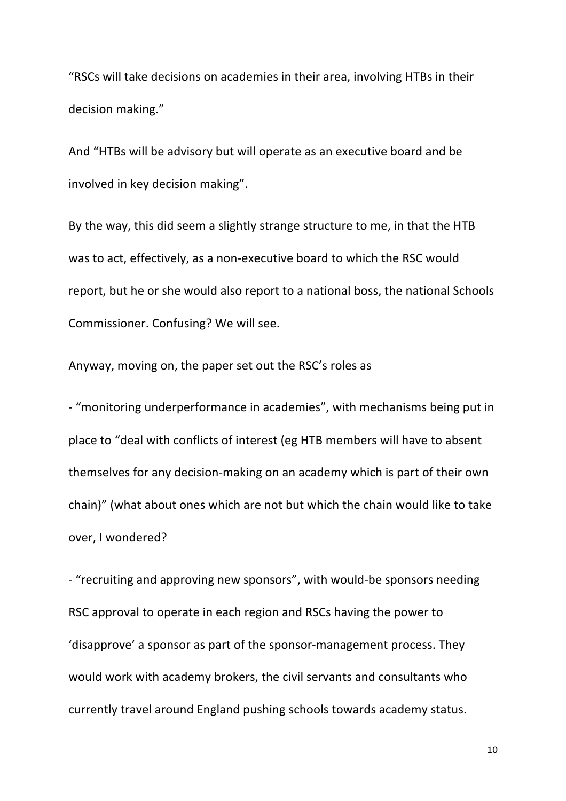"RSCs will take decisions on academies in their area, involving HTBs in their decision making."

And "HTBs will be advisory but will operate as an executive board and be involved in key decision making".

By the way, this did seem a slightly strange structure to me, in that the HTB was to act, effectively, as a non-executive board to which the RSC would report, but he or she would also report to a national boss, the national Schools Commissioner. Confusing? We will see.

Anyway, moving on, the paper set out the RSC's roles as

- "monitoring underperformance in academies", with mechanisms being put in place to "deal with conflicts of interest (eg HTB members will have to absent themselves for any decision-making on an academy which is part of their own chain)" (what about ones which are not but which the chain would like to take over, I wondered?

- "recruiting and approving new sponsors", with would-be sponsors needing RSC approval to operate in each region and RSCs having the power to 'disapprove' a sponsor as part of the sponsor-management process. They would work with academy brokers, the civil servants and consultants who currently travel around England pushing schools towards academy status.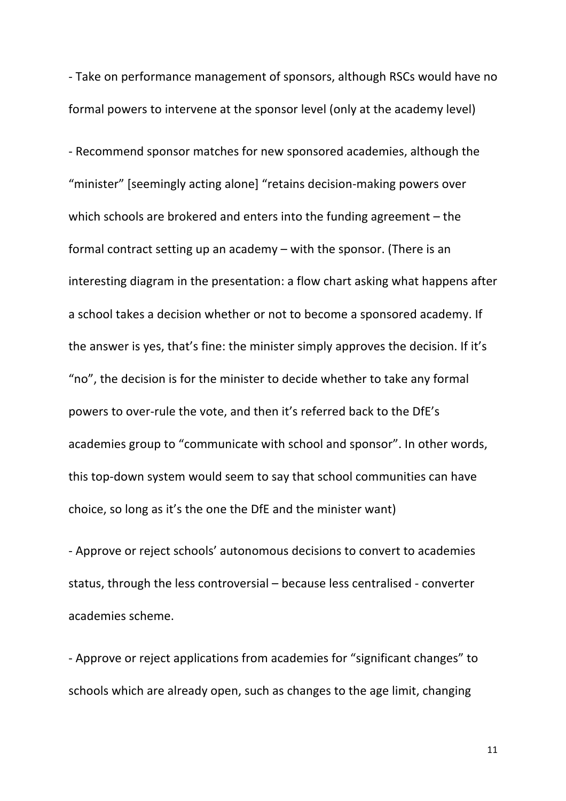- Take on performance management of sponsors, although RSCs would have no formal powers to intervene at the sponsor level (only at the academy level)

- Recommend sponsor matches for new sponsored academies, although the "minister" [seemingly acting alone] "retains decision-making powers over which schools are brokered and enters into the funding agreement  $-$  the formal contract setting up an academy  $-$  with the sponsor. (There is an interesting diagram in the presentation: a flow chart asking what happens after a school takes a decision whether or not to become a sponsored academy. If the answer is yes, that's fine: the minister simply approves the decision. If it's "no", the decision is for the minister to decide whether to take any formal powers to over-rule the vote, and then it's referred back to the DfE's academies group to "communicate with school and sponsor". In other words, this top-down system would seem to say that school communities can have choice, so long as it's the one the DfE and the minister want)

- Approve or reject schools' autonomous decisions to convert to academies status, through the less controversial – because less centralised - converter academies scheme.

- Approve or reject applications from academies for "significant changes" to schools which are already open, such as changes to the age limit, changing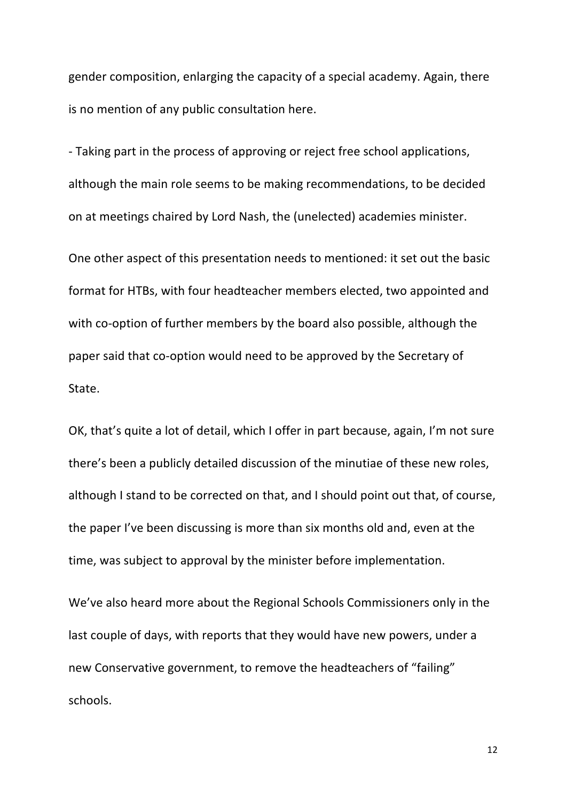gender composition, enlarging the capacity of a special academy. Again, there is no mention of any public consultation here.

- Taking part in the process of approving or reject free school applications, although the main role seems to be making recommendations, to be decided on at meetings chaired by Lord Nash, the (unelected) academies minister.

One other aspect of this presentation needs to mentioned: it set out the basic format for HTBs, with four headteacher members elected, two appointed and with co-option of further members by the board also possible, although the paper said that co-option would need to be approved by the Secretary of State.

OK, that's quite a lot of detail, which I offer in part because, again, I'm not sure there's been a publicly detailed discussion of the minutiae of these new roles, although I stand to be corrected on that, and I should point out that, of course, the paper I've been discussing is more than six months old and, even at the time, was subject to approval by the minister before implementation.

We've also heard more about the Regional Schools Commissioners only in the last couple of days, with reports that they would have new powers, under a new Conservative government, to remove the headteachers of "failing" schools.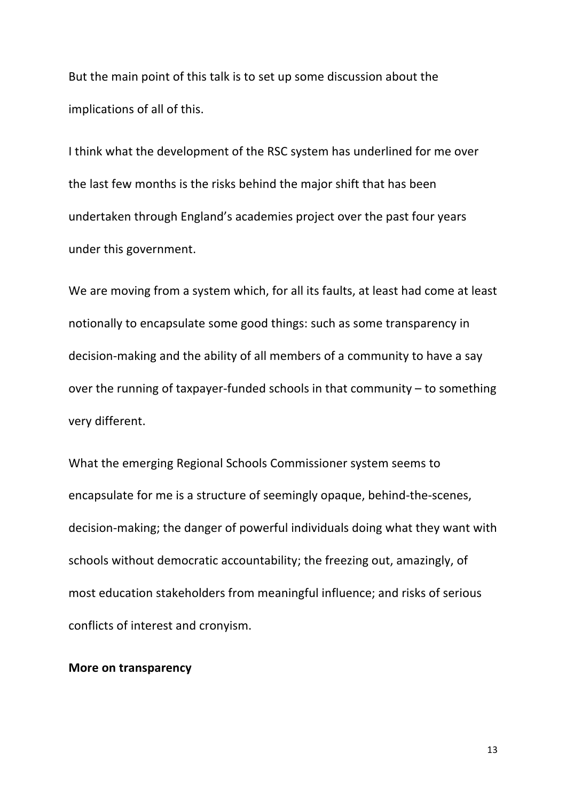But the main point of this talk is to set up some discussion about the implications of all of this.

I think what the development of the RSC system has underlined for me over the last few months is the risks behind the major shift that has been undertaken through England's academies project over the past four years under this government.

We are moving from a system which, for all its faults, at least had come at least notionally to encapsulate some good things: such as some transparency in decision-making and the ability of all members of a community to have a say over the running of taxpayer-funded schools in that community  $-$  to something very different.

What the emerging Regional Schools Commissioner system seems to encapsulate for me is a structure of seemingly opaque, behind-the-scenes, decision-making; the danger of powerful individuals doing what they want with schools without democratic accountability; the freezing out, amazingly, of most education stakeholders from meaningful influence; and risks of serious conflicts of interest and cronyism.

### **More on transparency**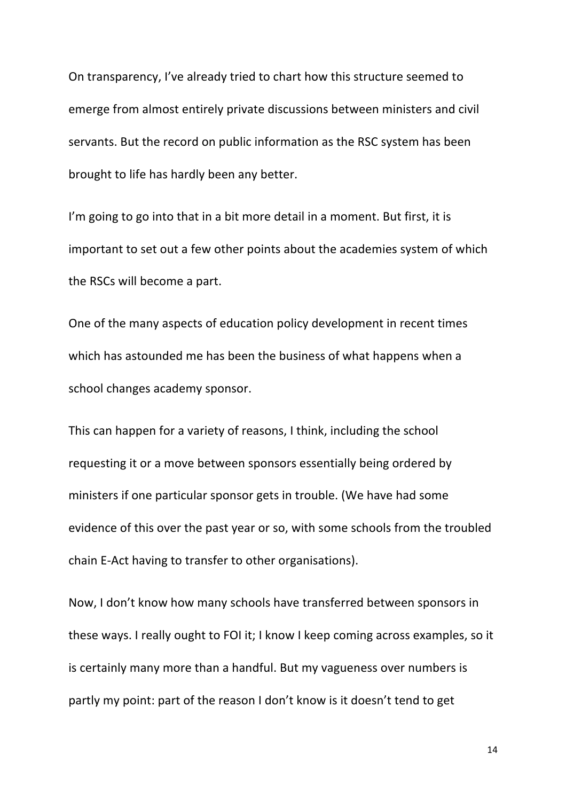On transparency, I've already tried to chart how this structure seemed to emerge from almost entirely private discussions between ministers and civil servants. But the record on public information as the RSC system has been brought to life has hardly been any better.

I'm going to go into that in a bit more detail in a moment. But first, it is important to set out a few other points about the academies system of which the RSCs will become a part.

One of the many aspects of education policy development in recent times which has astounded me has been the business of what happens when a school changes academy sponsor.

This can happen for a variety of reasons, I think, including the school requesting it or a move between sponsors essentially being ordered by ministers if one particular sponsor gets in trouble. (We have had some evidence of this over the past year or so, with some schools from the troubled chain E-Act having to transfer to other organisations).

Now, I don't know how many schools have transferred between sponsors in these ways. I really ought to FOI it; I know I keep coming across examples, so it is certainly many more than a handful. But my vagueness over numbers is partly my point: part of the reason I don't know is it doesn't tend to get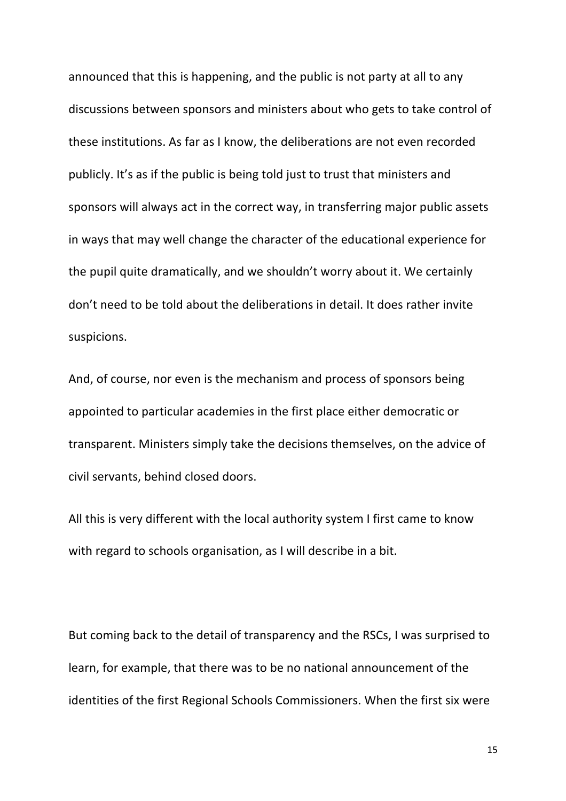announced that this is happening, and the public is not party at all to any discussions between sponsors and ministers about who gets to take control of these institutions. As far as I know, the deliberations are not even recorded publicly. It's as if the public is being told just to trust that ministers and sponsors will always act in the correct way, in transferring major public assets in ways that may well change the character of the educational experience for the pupil quite dramatically, and we shouldn't worry about it. We certainly don't need to be told about the deliberations in detail. It does rather invite suspicions. 

And, of course, nor even is the mechanism and process of sponsors being appointed to particular academies in the first place either democratic or transparent. Ministers simply take the decisions themselves, on the advice of civil servants, behind closed doors.

All this is very different with the local authority system I first came to know with regard to schools organisation, as I will describe in a bit.

But coming back to the detail of transparency and the RSCs, I was surprised to learn, for example, that there was to be no national announcement of the identities of the first Regional Schools Commissioners. When the first six were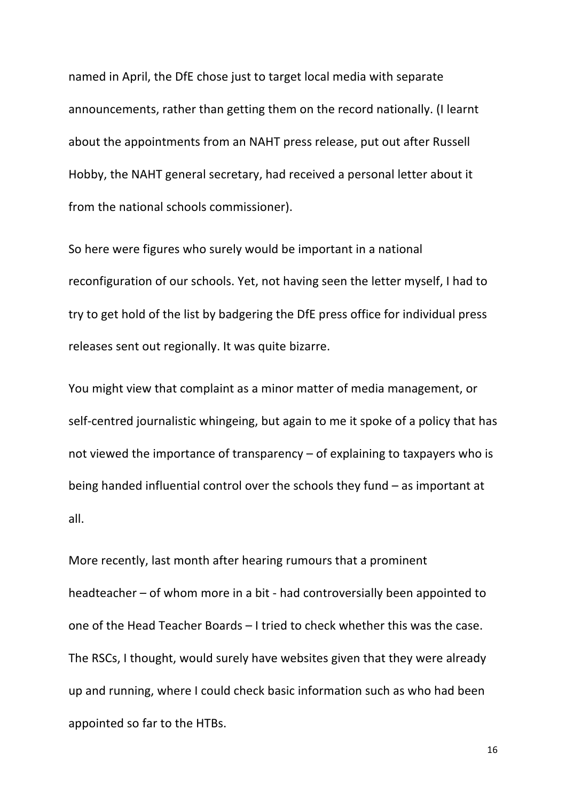named in April, the DfE chose just to target local media with separate announcements, rather than getting them on the record nationally. (I learnt about the appointments from an NAHT press release, put out after Russell Hobby, the NAHT general secretary, had received a personal letter about it from the national schools commissioner).

So here were figures who surely would be important in a national reconfiguration of our schools. Yet, not having seen the letter myself, I had to try to get hold of the list by badgering the DfE press office for individual press releases sent out regionally. It was quite bizarre.

You might view that complaint as a minor matter of media management, or self-centred journalistic whingeing, but again to me it spoke of a policy that has not viewed the importance of transparency  $-$  of explaining to taxpayers who is being handed influential control over the schools they fund  $-$  as important at all. 

More recently, last month after hearing rumours that a prominent headteacher  $-$  of whom more in a bit - had controversially been appointed to one of the Head Teacher Boards  $-1$  tried to check whether this was the case. The RSCs, I thought, would surely have websites given that they were already up and running, where I could check basic information such as who had been appointed so far to the HTBs.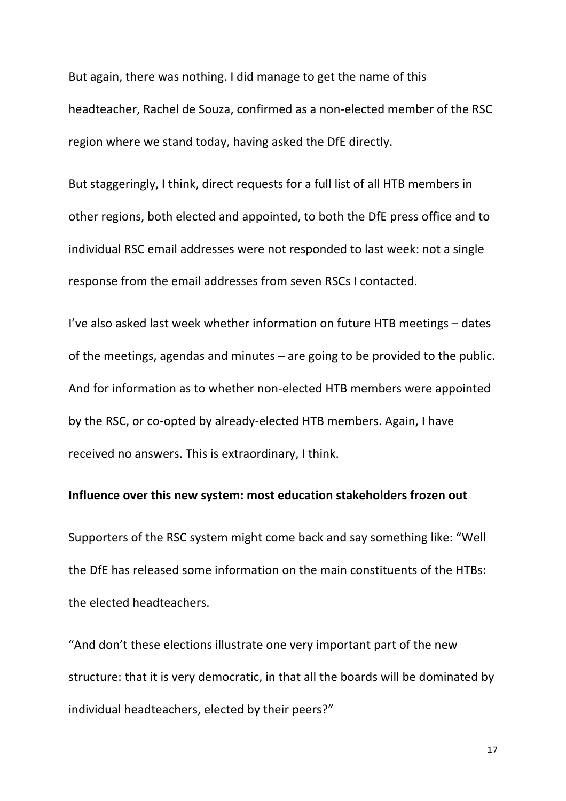But again, there was nothing. I did manage to get the name of this headteacher, Rachel de Souza, confirmed as a non-elected member of the RSC region where we stand today, having asked the DfE directly.

But staggeringly, I think, direct requests for a full list of all HTB members in other regions, both elected and appointed, to both the DfE press office and to individual RSC email addresses were not responded to last week: not a single response from the email addresses from seven RSCs I contacted.

I've also asked last week whether information on future HTB meetings – dates of the meetings, agendas and minutes  $-$  are going to be provided to the public. And for information as to whether non-elected HTB members were appointed by the RSC, or co-opted by already-elected HTB members. Again, I have received no answers. This is extraordinary, I think.

# **Influence over this new system: most education stakeholders frozen out**

Supporters of the RSC system might come back and say something like: "Well the DfE has released some information on the main constituents of the HTBs: the elected headteachers.

"And don't these elections illustrate one very important part of the new structure: that it is very democratic, in that all the boards will be dominated by individual headteachers, elected by their peers?"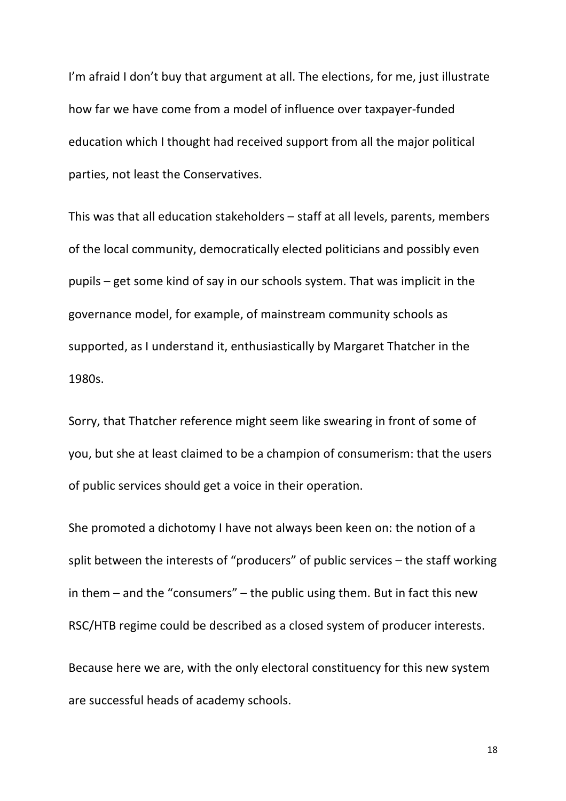I'm afraid I don't buy that argument at all. The elections, for me, just illustrate how far we have come from a model of influence over taxpayer-funded education which I thought had received support from all the major political parties, not least the Conservatives.

This was that all education stakeholders  $-$  staff at all levels, parents, members of the local community, democratically elected politicians and possibly even pupils  $-$  get some kind of say in our schools system. That was implicit in the governance model, for example, of mainstream community schools as supported, as I understand it, enthusiastically by Margaret Thatcher in the 1980s.

Sorry, that Thatcher reference might seem like swearing in front of some of you, but she at least claimed to be a champion of consumerism: that the users of public services should get a voice in their operation.

She promoted a dichotomy I have not always been keen on: the notion of a split between the interests of "producers" of public services  $-$  the staff working in them  $-$  and the "consumers"  $-$  the public using them. But in fact this new RSC/HTB regime could be described as a closed system of producer interests.

Because here we are, with the only electoral constituency for this new system are successful heads of academy schools.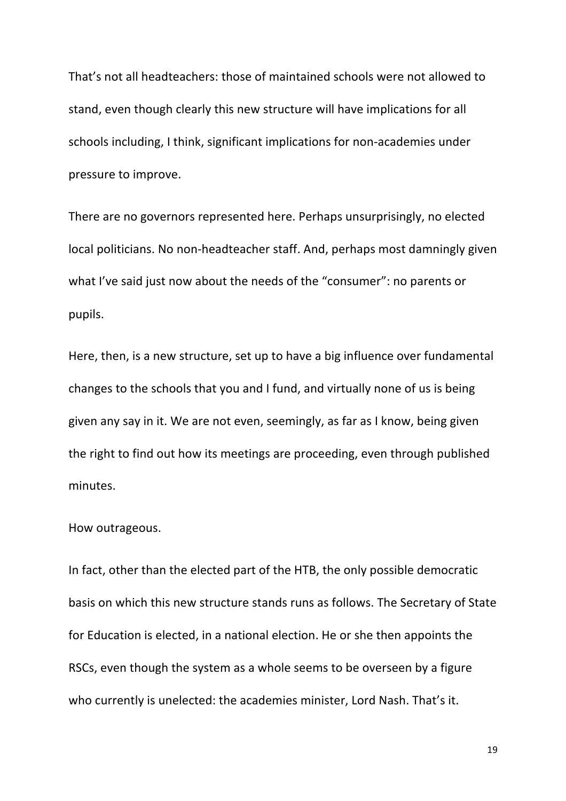That's not all headteachers: those of maintained schools were not allowed to stand, even though clearly this new structure will have implications for all schools including, I think, significant implications for non-academies under pressure to improve.

There are no governors represented here. Perhaps unsurprisingly, no elected local politicians. No non-headteacher staff. And, perhaps most damningly given what I've said just now about the needs of the "consumer": no parents or pupils. 

Here, then, is a new structure, set up to have a big influence over fundamental changes to the schools that you and I fund, and virtually none of us is being given any say in it. We are not even, seemingly, as far as I know, being given the right to find out how its meetings are proceeding, even through published minutes. 

# How outrageous.

In fact, other than the elected part of the HTB, the only possible democratic basis on which this new structure stands runs as follows. The Secretary of State for Education is elected, in a national election. He or she then appoints the RSCs, even though the system as a whole seems to be overseen by a figure who currently is unelected: the academies minister, Lord Nash. That's it.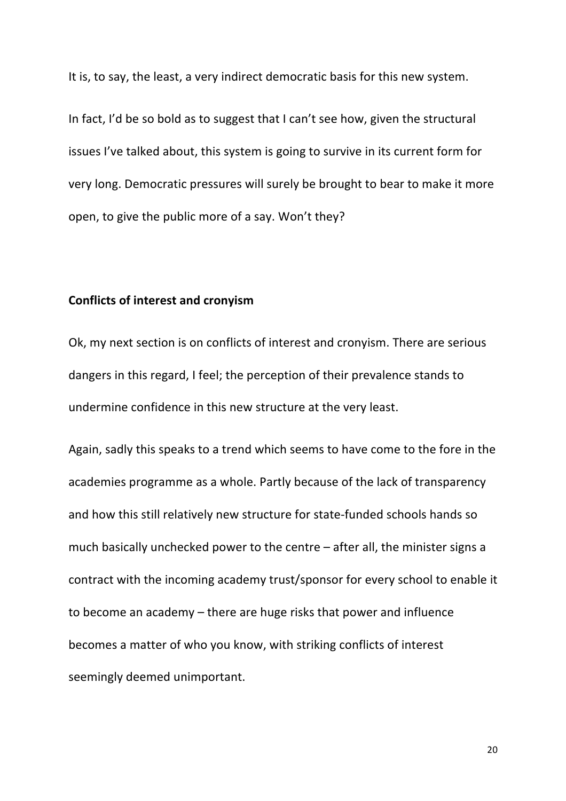It is, to say, the least, a very indirect democratic basis for this new system.

In fact, I'd be so bold as to suggest that I can't see how, given the structural issues I've talked about, this system is going to survive in its current form for very long. Democratic pressures will surely be brought to bear to make it more open, to give the public more of a say. Won't they?

# **Conflicts of interest and cronyism**

Ok, my next section is on conflicts of interest and cronyism. There are serious dangers in this regard, I feel; the perception of their prevalence stands to undermine confidence in this new structure at the very least.

Again, sadly this speaks to a trend which seems to have come to the fore in the academies programme as a whole. Partly because of the lack of transparency and how this still relatively new structure for state-funded schools hands so much basically unchecked power to the centre  $-$  after all, the minister signs a contract with the incoming academy trust/sponsor for every school to enable it to become an academy  $-$  there are huge risks that power and influence becomes a matter of who you know, with striking conflicts of interest seemingly deemed unimportant.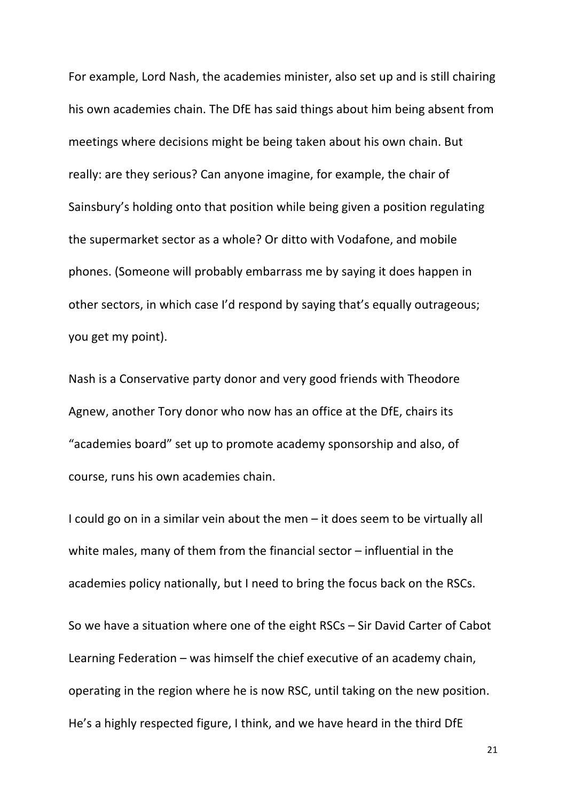For example, Lord Nash, the academies minister, also set up and is still chairing his own academies chain. The DfE has said things about him being absent from meetings where decisions might be being taken about his own chain. But really: are they serious? Can anyone imagine, for example, the chair of Sainsbury's holding onto that position while being given a position regulating the supermarket sector as a whole? Or ditto with Vodafone, and mobile phones. (Someone will probably embarrass me by saying it does happen in other sectors, in which case I'd respond by saying that's equally outrageous; you get my point).

Nash is a Conservative party donor and very good friends with Theodore Agnew, another Tory donor who now has an office at the DfE, chairs its "academies board" set up to promote academy sponsorship and also, of course, runs his own academies chain.

I could go on in a similar vein about the men  $-$  it does seem to be virtually all white males, many of them from the financial sector  $-$  influential in the academies policy nationally, but I need to bring the focus back on the RSCs.

So we have a situation where one of the eight  $RSCs - Sir David Carter of Cabot$ Learning Federation  $-$  was himself the chief executive of an academy chain, operating in the region where he is now RSC, until taking on the new position. He's a highly respected figure, I think, and we have heard in the third DfE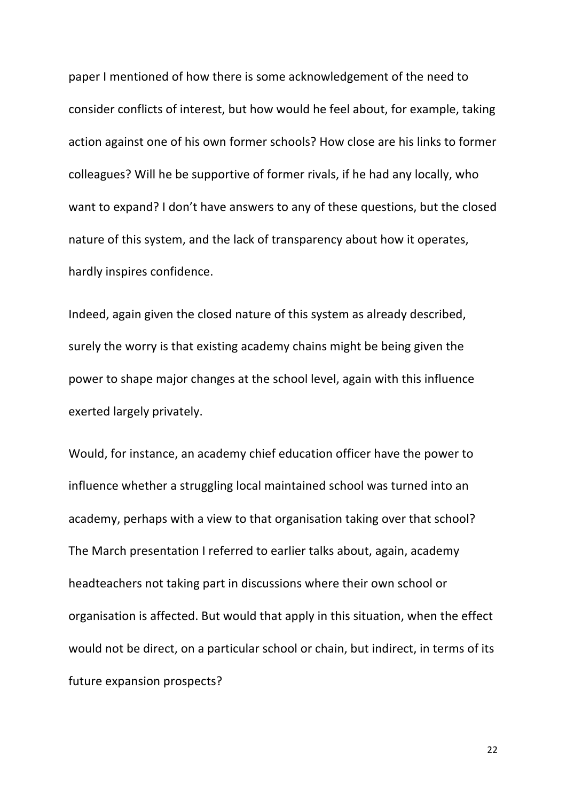paper I mentioned of how there is some acknowledgement of the need to consider conflicts of interest, but how would he feel about, for example, taking action against one of his own former schools? How close are his links to former colleagues? Will he be supportive of former rivals, if he had any locally, who want to expand? I don't have answers to any of these questions, but the closed nature of this system, and the lack of transparency about how it operates, hardly inspires confidence.

Indeed, again given the closed nature of this system as already described, surely the worry is that existing academy chains might be being given the power to shape major changes at the school level, again with this influence exerted largely privately.

Would, for instance, an academy chief education officer have the power to influence whether a struggling local maintained school was turned into an academy, perhaps with a view to that organisation taking over that school? The March presentation I referred to earlier talks about, again, academy headteachers not taking part in discussions where their own school or organisation is affected. But would that apply in this situation, when the effect would not be direct, on a particular school or chain, but indirect, in terms of its future expansion prospects?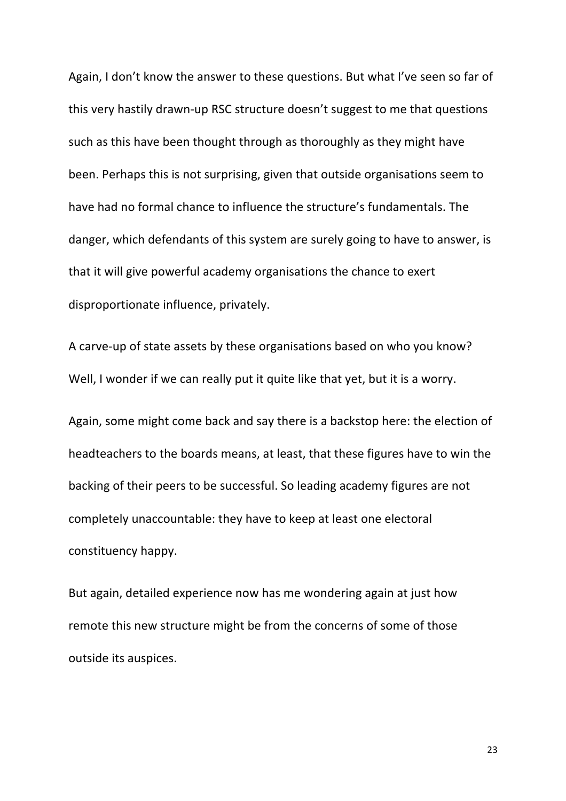Again, I don't know the answer to these questions. But what I've seen so far of this very hastily drawn-up RSC structure doesn't suggest to me that questions such as this have been thought through as thoroughly as they might have been. Perhaps this is not surprising, given that outside organisations seem to have had no formal chance to influence the structure's fundamentals. The danger, which defendants of this system are surely going to have to answer, is that it will give powerful academy organisations the chance to exert disproportionate influence, privately.

A carve-up of state assets by these organisations based on who you know? Well, I wonder if we can really put it quite like that yet, but it is a worry.

Again, some might come back and say there is a backstop here: the election of headteachers to the boards means, at least, that these figures have to win the backing of their peers to be successful. So leading academy figures are not completely unaccountable: they have to keep at least one electoral constituency happy.

But again, detailed experience now has me wondering again at just how remote this new structure might be from the concerns of some of those outside its auspices.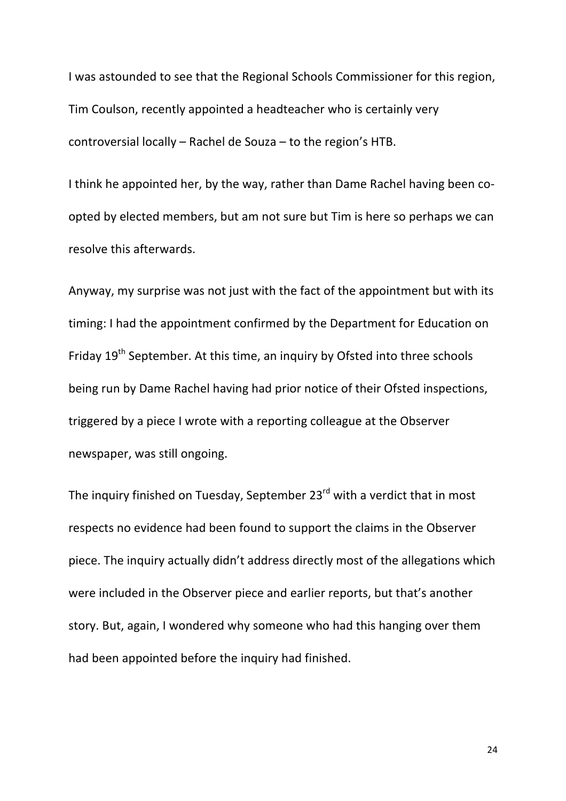I was astounded to see that the Regional Schools Commissioner for this region, Tim Coulson, recently appointed a headteacher who is certainly very controversial locally  $-$  Rachel de Souza  $-$  to the region's HTB.

I think he appointed her, by the way, rather than Dame Rachel having been coopted by elected members, but am not sure but Tim is here so perhaps we can resolve this afterwards.

Anyway, my surprise was not just with the fact of the appointment but with its timing: I had the appointment confirmed by the Department for Education on Friday 19<sup>th</sup> September. At this time, an inquiry by Ofsted into three schools being run by Dame Rachel having had prior notice of their Ofsted inspections, triggered by a piece I wrote with a reporting colleague at the Observer newspaper, was still ongoing.

The inquiry finished on Tuesday, September  $23^{rd}$  with a verdict that in most respects no evidence had been found to support the claims in the Observer piece. The inquiry actually didn't address directly most of the allegations which were included in the Observer piece and earlier reports, but that's another story. But, again, I wondered why someone who had this hanging over them had been appointed before the inquiry had finished.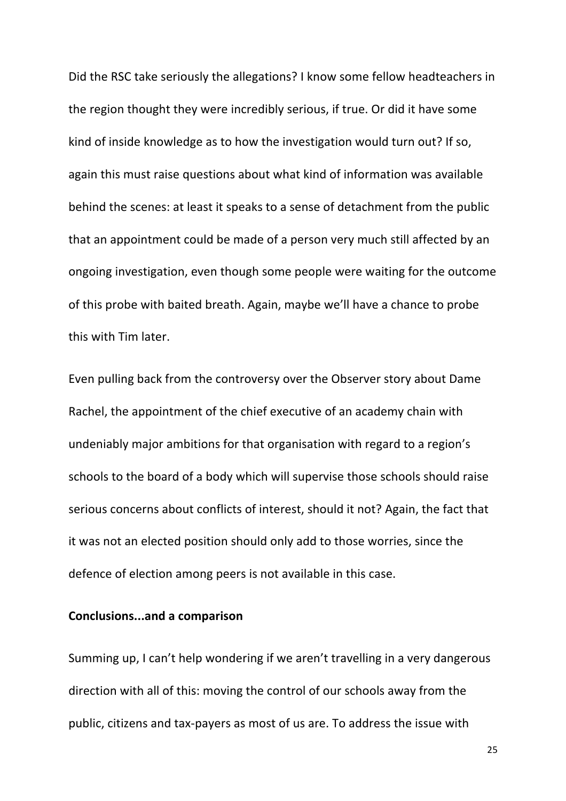Did the RSC take seriously the allegations? I know some fellow headteachers in the region thought they were incredibly serious, if true. Or did it have some kind of inside knowledge as to how the investigation would turn out? If so, again this must raise questions about what kind of information was available behind the scenes: at least it speaks to a sense of detachment from the public that an appointment could be made of a person very much still affected by an ongoing investigation, even though some people were waiting for the outcome of this probe with baited breath. Again, maybe we'll have a chance to probe this with Tim later.

Even pulling back from the controversy over the Observer story about Dame Rachel, the appointment of the chief executive of an academy chain with undeniably major ambitions for that organisation with regard to a region's schools to the board of a body which will supervise those schools should raise serious concerns about conflicts of interest, should it not? Again, the fact that it was not an elected position should only add to those worries, since the defence of election among peers is not available in this case.

### **Conclusions...and a comparison**

Summing up, I can't help wondering if we aren't travelling in a very dangerous direction with all of this: moving the control of our schools away from the public, citizens and tax-payers as most of us are. To address the issue with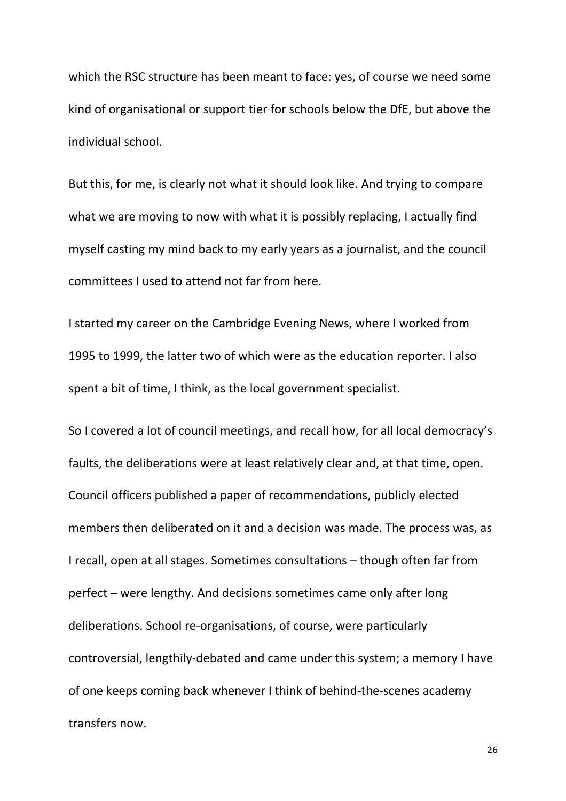which the RSC structure has been meant to face: yes, of course we need some kind of organisational or support tier for schools below the DfE, but above the individual school.

But this, for me, is clearly not what it should look like. And trying to compare what we are moving to now with what it is possibly replacing, I actually find myself casting my mind back to my early years as a journalist, and the council committees I used to attend not far from here.

I started my career on the Cambridge Evening News, where I worked from 1995 to 1999, the latter two of which were as the education reporter. I also spent a bit of time, I think, as the local government specialist.

So I covered a lot of council meetings, and recall how, for all local democracy's faults, the deliberations were at least relatively clear and, at that time, open. Council officers published a paper of recommendations, publicly elected members then deliberated on it and a decision was made. The process was, as I recall, open at all stages. Sometimes consultations – though often far from perfect – were lengthy. And decisions sometimes came only after long deliberations. School re-organisations, of course, were particularly controversial, lengthily-debated and came under this system; a memory I have of one keeps coming back whenever I think of behind-the-scenes academy transfers now.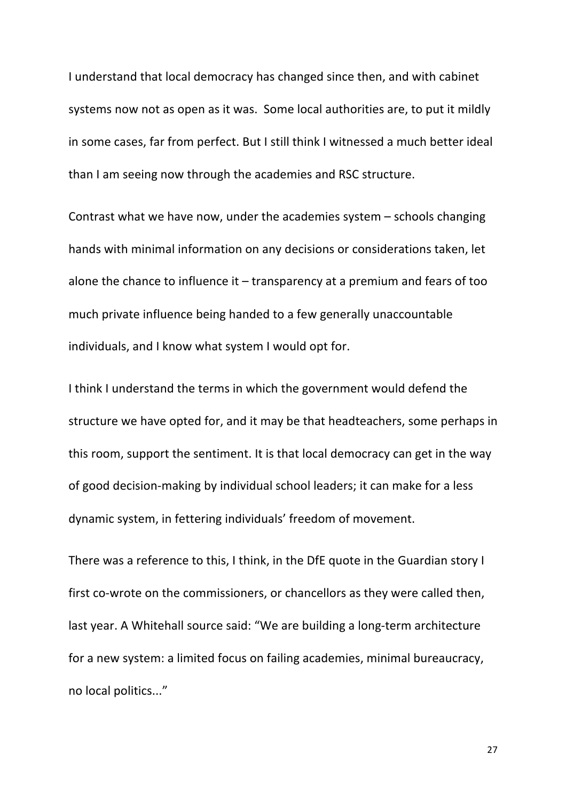I understand that local democracy has changed since then, and with cabinet systems now not as open as it was. Some local authorities are, to put it mildly in some cases, far from perfect. But I still think I witnessed a much better ideal than I am seeing now through the academies and RSC structure.

Contrast what we have now, under the academies system  $-$  schools changing hands with minimal information on any decisions or considerations taken, let alone the chance to influence it  $-$  transparency at a premium and fears of too much private influence being handed to a few generally unaccountable individuals, and I know what system I would opt for.

I think I understand the terms in which the government would defend the structure we have opted for, and it may be that headteachers, some perhaps in this room, support the sentiment. It is that local democracy can get in the way of good decision-making by individual school leaders; it can make for a less dynamic system, in fettering individuals' freedom of movement.

There was a reference to this, I think, in the DfE quote in the Guardian story I first co-wrote on the commissioners, or chancellors as they were called then, last year. A Whitehall source said: "We are building a long-term architecture for a new system: a limited focus on failing academies, minimal bureaucracy, no local politics..."